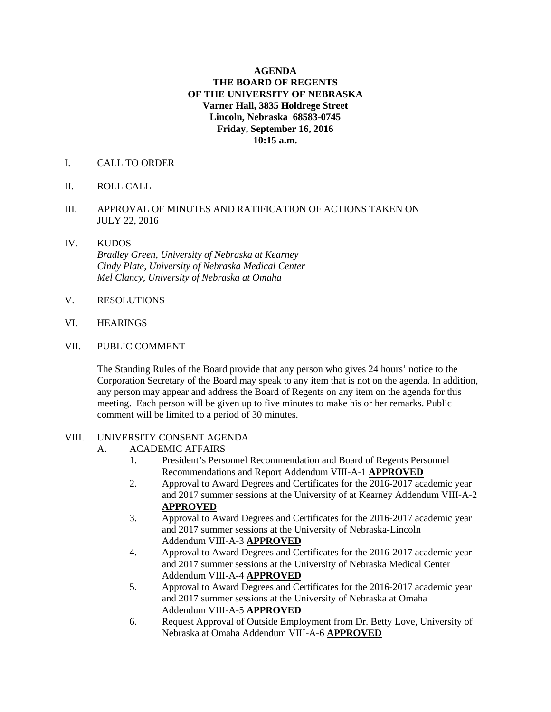#### **AGENDA THE BOARD OF REGENTS OF THE UNIVERSITY OF NEBRASKA Varner Hall, 3835 Holdrege Street Lincoln, Nebraska 68583-0745 Friday, September 16, 2016 10:15 a.m.**

- I. CALL TO ORDER
- II. ROLL CALL
- III. APPROVAL OF MINUTES AND RATIFICATION OF ACTIONS TAKEN ON JULY 22, 2016
- IV. KUDOS  *Bradley Green, University of Nebraska at Kearney Cindy Plate, University of Nebraska Medical Center Mel Clancy, University of Nebraska at Omaha*
- V. RESOLUTIONS
- VI. HEARINGS
- VII. PUBLIC COMMENT

The Standing Rules of the Board provide that any person who gives 24 hours' notice to the Corporation Secretary of the Board may speak to any item that is not on the agenda. In addition, any person may appear and address the Board of Regents on any item on the agenda for this meeting. Each person will be given up to five minutes to make his or her remarks. Public comment will be limited to a period of 30 minutes.

#### VIII. UNIVERSITY CONSENT AGENDA

- A. ACADEMIC AFFAIRS
	- 1. President's Personnel Recommendation and Board of Regents Personnel Recommendations and Report Addendum VIII-A-1 **APPROVED**
	- 2. Approval to Award Degrees and Certificates for the 2016-2017 academic year and 2017 summer sessions at the University of at Kearney Addendum VIII-A-2 **APPROVED**
	- 3. Approval to Award Degrees and Certificates for the 2016-2017 academic year and 2017 summer sessions at the University of Nebraska-Lincoln Addendum VIII-A-3 **APPROVED**
	- 4. Approval to Award Degrees and Certificates for the 2016-2017 academic year and 2017 summer sessions at the University of Nebraska Medical Center Addendum VIII-A-4 **APPROVED**
	- 5. Approval to Award Degrees and Certificates for the 2016-2017 academic year and 2017 summer sessions at the University of Nebraska at Omaha Addendum VIII-A-5 **APPROVED**
	- 6. Request Approval of Outside Employment from Dr. Betty Love, University of Nebraska at Omaha Addendum VIII-A-6 **APPROVED**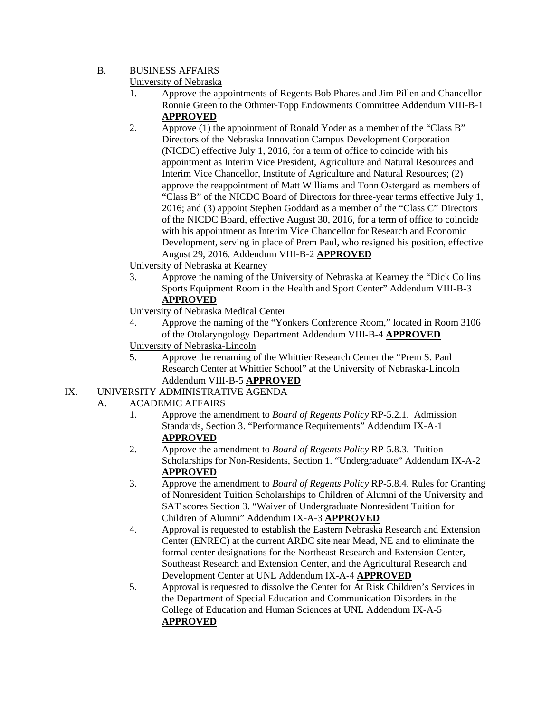## B. BUSINESS AFFAIRS

University of Nebraska

- 1. Approve the appointments of Regents Bob Phares and Jim Pillen and Chancellor Ronnie Green to the Othmer-Topp Endowments Committee Addendum VIII-B-1 **APPROVED**
- 2. Approve (1) the appointment of Ronald Yoder as a member of the "Class B" Directors of the Nebraska Innovation Campus Development Corporation (NICDC) effective July 1, 2016, for a term of office to coincide with his appointment as Interim Vice President, Agriculture and Natural Resources and Interim Vice Chancellor, Institute of Agriculture and Natural Resources; (2) approve the reappointment of Matt Williams and Tonn Ostergard as members of "Class B" of the NICDC Board of Directors for three-year terms effective July 1, 2016; and (3) appoint Stephen Goddard as a member of the "Class C" Directors of the NICDC Board, effective August 30, 2016, for a term of office to coincide with his appointment as Interim Vice Chancellor for Research and Economic Development, serving in place of Prem Paul, who resigned his position, effective August 29, 2016. Addendum VIII-B-2 **APPROVED**

# University of Nebraska at Kearney

 3. Approve the naming of the University of Nebraska at Kearney the "Dick Collins Sports Equipment Room in the Health and Sport Center" Addendum VIII-B-3 **APPROVED**

University of Nebraska Medical Center

- 4. Approve the naming of the "Yonkers Conference Room," located in Room 3106 of the Otolaryngology Department Addendum VIII-B-4 **APPROVED** University of Nebraska-Lincoln
- 5. Approve the renaming of the Whittier Research Center the "Prem S. Paul Research Center at Whittier School" at the University of Nebraska-Lincoln Addendum VIII-B-5 **APPROVED**

# IX. UNIVERSITY ADMINISTRATIVE AGENDA

- A. ACADEMIC AFFAIRS
	- 1. Approve the amendment to *Board of Regents Policy* RP-5.2.1. Admission Standards, Section 3. "Performance Requirements" Addendum IX-A-1 **APPROVED**
	- 2. Approve the amendment to *Board of Regents Policy* RP-5.8.3. Tuition Scholarships for Non-Residents, Section 1. "Undergraduate" Addendum IX-A-2 **APPROVED**
	- 3. Approve the amendment to *Board of Regents Policy* RP-5.8.4. Rules for Granting of Nonresident Tuition Scholarships to Children of Alumni of the University and SAT scores Section 3. "Waiver of Undergraduate Nonresident Tuition for Children of Alumni" Addendum IX-A-3 **APPROVED**
	- 4. Approval is requested to establish the Eastern Nebraska Research and Extension Center (ENREC) at the current ARDC site near Mead, NE and to eliminate the formal center designations for the Northeast Research and Extension Center, Southeast Research and Extension Center, and the Agricultural Research and Development Center at UNL Addendum IX-A-4 **APPROVED**
	- 5. Approval is requested to dissolve the Center for At Risk Children's Services in the Department of Special Education and Communication Disorders in the College of Education and Human Sciences at UNL Addendum IX-A-5 **APPROVED**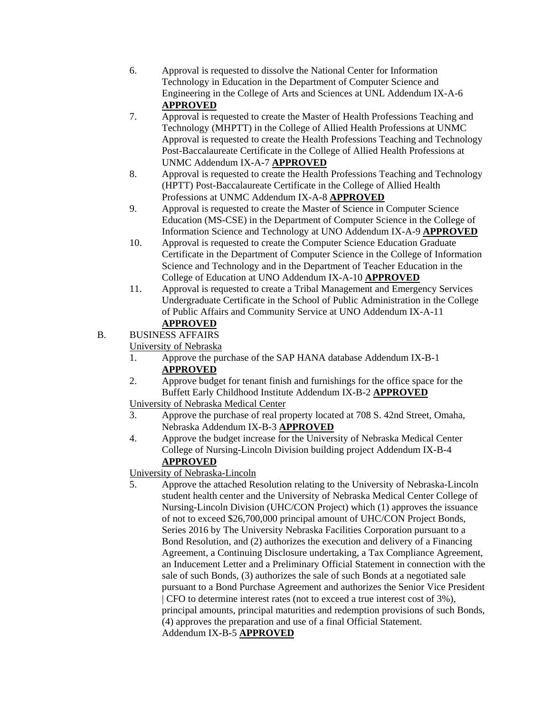- 6. Approval is requested to dissolve the National Center for Information Technology in Education in the Department of Computer Science and Engineering in the College of Arts and Sciences at UNL Addendum IX-A-6 **APPROVED**
- 7. Approval is requested to create the Master of Health Professions Teaching and Technology (MHPTT) in the College of Allied Health Professions at UNMC Approval is requested to create the Health Professions Teaching and Technology Post-Baccalaureate Certificate in the College of Allied Health Professions at UNMC Addendum IX-A-7 **APPROVED**
- 8. Approval is requested to create the Health Professions Teaching and Technology (HPTT) Post-Baccalaureate Certificate in the College of Allied Health Professions at UNMC Addendum IX-A-8 **APPROVED**
- 9. Approval is requested to create the Master of Science in Computer Science Education (MS-CSE) in the Department of Computer Science in the College of Information Science and Technology at UNO Addendum IX-A-9 **APPROVED**
- 10. Approval is requested to create the Computer Science Education Graduate Certificate in the Department of Computer Science in the College of Information Science and Technology and in the Department of Teacher Education in the College of Education at UNO Addendum IX-A-10 **APPROVED**
- 11. Approval is requested to create a Tribal Management and Emergency Services Undergraduate Certificate in the School of Public Administration in the College of Public Affairs and Community Service at UNO Addendum IX-A-11

# **APPROVED**

B. BUSINESS AFFAIRS

University of Nebraska

- 1. Approve the purchase of the SAP HANA database Addendum IX-B-1 **APPROVED**
- 2. Approve budget for tenant finish and furnishings for the office space for the Buffett Early Childhood Institute Addendum IX-B-2 **APPROVED**
- University of Nebraska Medical Center
- 3. Approve the purchase of real property located at 708 S. 42nd Street, Omaha, Nebraska Addendum IX-B-3 **APPROVED**
- 4. Approve the budget increase for the University of Nebraska Medical Center College of Nursing-Lincoln Division building project Addendum IX-B-4 **APPROVED**
- University of Nebraska-Lincoln
- 5. Approve the attached Resolution relating to the University of Nebraska-Lincoln student health center and the University of Nebraska Medical Center College of Nursing-Lincoln Division (UHC/CON Project) which (1) approves the issuance of not to exceed \$26,700,000 principal amount of UHC/CON Project Bonds, Series 2016 by The University Nebraska Facilities Corporation pursuant to a Bond Resolution, and (2) authorizes the execution and delivery of a Financing Agreement, a Continuing Disclosure undertaking, a Tax Compliance Agreement, an Inducement Letter and a Preliminary Official Statement in connection with the sale of such Bonds, (3) authorizes the sale of such Bonds at a negotiated sale pursuant to a Bond Purchase Agreement and authorizes the Senior Vice President | CFO to determine interest rates (not to exceed a true interest cost of 3%), principal amounts, principal maturities and redemption provisions of such Bonds, (4) approves the preparation and use of a final Official Statement. Addendum IX-B-5 **APPROVED**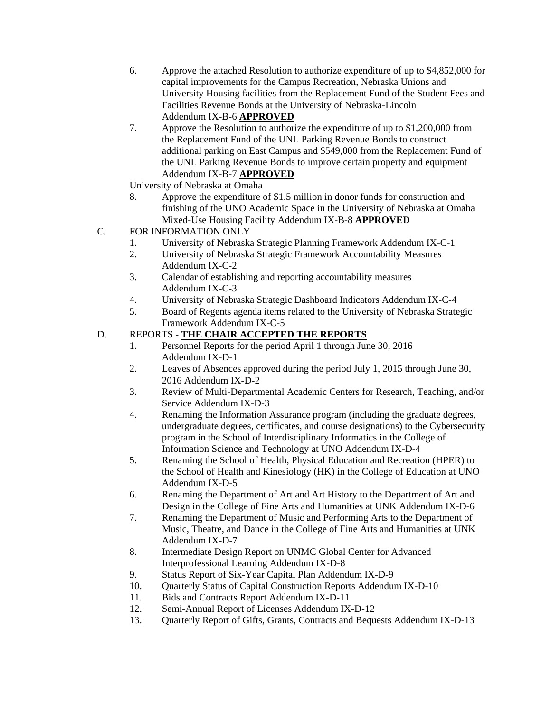- 6. Approve the attached Resolution to authorize expenditure of up to \$4,852,000 for capital improvements for the Campus Recreation, Nebraska Unions and University Housing facilities from the Replacement Fund of the Student Fees and Facilities Revenue Bonds at the University of Nebraska-Lincoln Addendum IX-B-6 **APPROVED**
- 7. Approve the Resolution to authorize the expenditure of up to \$1,200,000 from the Replacement Fund of the UNL Parking Revenue Bonds to construct additional parking on East Campus and \$549,000 from the Replacement Fund of the UNL Parking Revenue Bonds to improve certain property and equipment Addendum IX-B-7 **APPROVED**
- University of Nebraska at Omaha
- 8. Approve the expenditure of \$1.5 million in donor funds for construction and finishing of the UNO Academic Space in the University of Nebraska at Omaha Mixed-Use Housing Facility Addendum IX-B-8 **APPROVED**
- C. FOR INFORMATION ONLY
	- 1. University of Nebraska Strategic Planning Framework Addendum IX-C-1
	- 2. University of Nebraska Strategic Framework Accountability Measures Addendum IX-C-2
	- 3. Calendar of establishing and reporting accountability measures Addendum IX-C-3
	- 4. University of Nebraska Strategic Dashboard Indicators Addendum IX-C-4
	- 5. Board of Regents agenda items related to the University of Nebraska Strategic Framework Addendum IX-C-5

## D. REPORTS - **THE CHAIR ACCEPTED THE REPORTS**

- 1. Personnel Reports for the period April 1 through June 30, 2016 Addendum IX-D-1
- 2. Leaves of Absences approved during the period July 1, 2015 through June 30, 2016 Addendum IX-D-2
- 3. Review of Multi-Departmental Academic Centers for Research, Teaching, and/or Service Addendum IX-D-3
- 4. Renaming the Information Assurance program (including the graduate degrees, undergraduate degrees, certificates, and course designations) to the Cybersecurity program in the School of Interdisciplinary Informatics in the College of Information Science and Technology at UNO Addendum IX-D-4
- 5. Renaming the School of Health, Physical Education and Recreation (HPER) to the School of Health and Kinesiology (HK) in the College of Education at UNO Addendum IX-D-5
- 6. Renaming the Department of Art and Art History to the Department of Art and Design in the College of Fine Arts and Humanities at UNK Addendum IX-D-6
- 7. Renaming the Department of Music and Performing Arts to the Department of Music, Theatre, and Dance in the College of Fine Arts and Humanities at UNK Addendum IX-D-7
- 8. Intermediate Design Report on UNMC Global Center for Advanced Interprofessional Learning Addendum IX-D-8
- 9. Status Report of Six-Year Capital Plan Addendum IX-D-9
- 10. Quarterly Status of Capital Construction Reports Addendum IX-D-10
- 11. Bids and Contracts Report Addendum IX-D-11
- 12. Semi-Annual Report of Licenses Addendum IX-D-12
- 13. Quarterly Report of Gifts, Grants, Contracts and Bequests Addendum IX-D-13